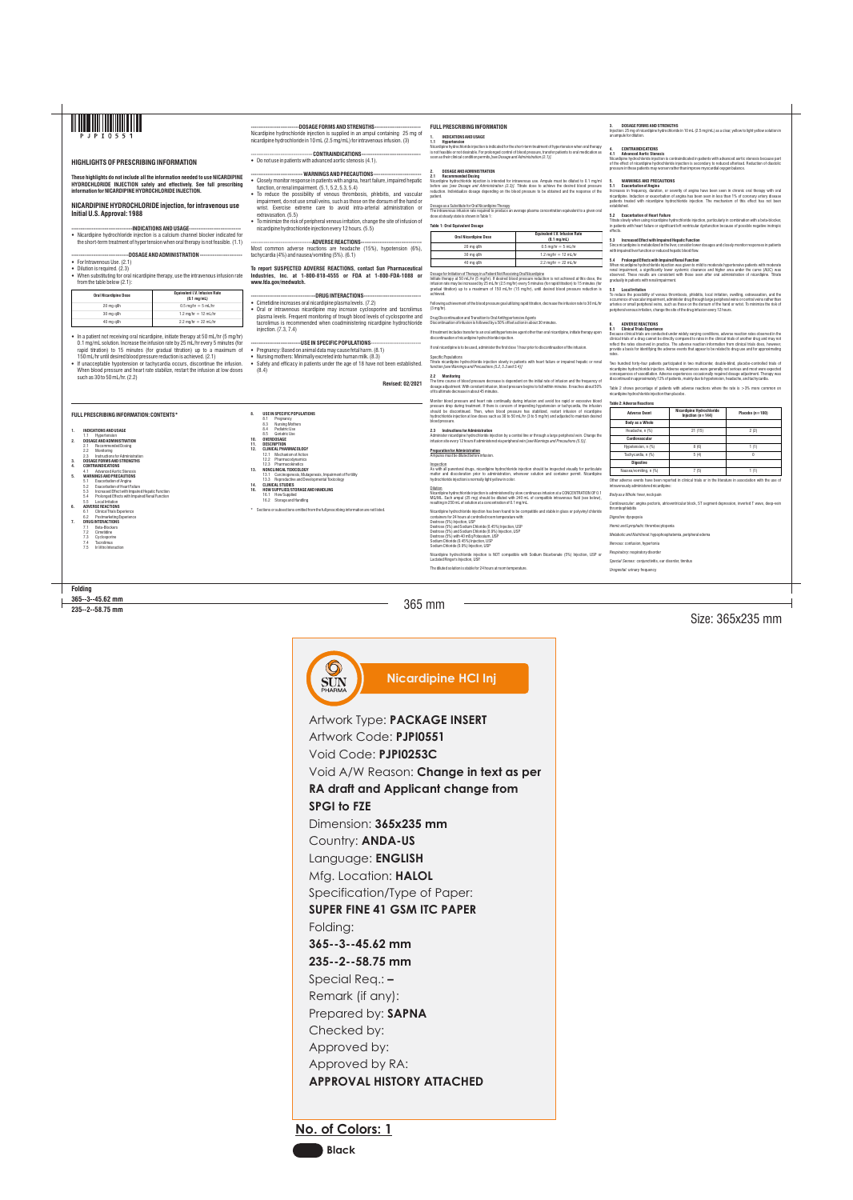365 mm

Size: 365x235 mm

**Folding**

7.2 Cimetidine<br>7.3 Cyclosporii<br>7.4 Tacrolimus Cyclosporine

**365--3--45.62 mm 235--2--58.75 mm**

Nicardipine hydrochloride injection is indicated for the short-term treatment of hypertension when oral therapy is not feasible or not desirable. For prolonged control of blood pressure, transfer patients to oral medication as<br>soon as their clinical condition permits *[see Dosage and Administration (2.1)].* 

# **FULL PRESCRIBING INFORMATION**

### **1. INDICATIONS AND USAGE 1.1 Hypertension**

# **2. DOSAGE AND ADMINISTRATION**

**2.1 Recommended Dosing** Nicardipine hydrochloride injection is intended for intravenous use. Ampule must be diluted to 0.1 mg/ml before use *[see Dosage and Administration (2.3)].* Titrate dose to achieve the desired blood pressure reduction. Individualize dosage depending on the blood pressure to be obtained and the response of the patient.

Dosage as a Substitute for Oral Nicardipine Therapy<br>The intravenous infusion rate required to produce an average plasma concentration equivalent to a given oral<br>dose at steady state is shown in Table 1:

## **Table 1: Oral Equivalent Dosage**

### Dosage for Initiation of Therapy in a Patient Not Receiving Oral Nicardipine

Initiate therapy at 50 mL/hr (5 mg/hr). If desired blood pressure reduction is not achieved at this dose, the infusion rate may be increased by 25 mL/hr (2.5 mg/hr) every 5 minutes (for rapid titration) to 15 minutes (for gradual titration) up to a maximum of 150 mL/hr (15 mg/hr), until desired blood pressure reduction is achieved.

Monitor blood pressure and heart rate continually during infusion and avoid too rapid or excessive blood<br>pressure drop during treatment. If there is concern of impending hypotension or tachycardia, the infusion<br>should be hydrochloride injection at low doses such as 30 to 50 mL/hr (3 to 5 mg/hr) and adjusted to maintain desired blood pressure.

Following achievement of the blood pressure goal utilizing rapid titration, decrease the infusion rate to 30 mL/hr (3 mg/hr).

Drug Discontinuation and Transition to Oral Antihypertensive Agents Discontinuation of infusion is followed by a 50% offset action in about 30 minutes.

Inspection<br>As with all parenteral drugs, nicardipine hydrochloride injection should be inspected visually for particulate<br>matter and discoloration prior to administration, whenever solution and container permit. Nicardipin hydrochloride injection is normally light yellow in color.

If treatment includes transfer to an oral antihypertensive agent other than oral nicardipine, initiate therapy upon discontinuation of nicardipine hydrochloride injection.

If oral nicardipine is to be used, administer the first dose 1 hour prior to discontinuation of the infusion.

Sodium Chloride (0.45%) Injection, USP Sodium Chloride (0.9%) Injection, USP

Specific Populations Titrate nicardipine hydrochloride injection slowly in patients with heart failure or impaired hepatic or renal

function *[see Warnings and Precautions (5.2, 5.3 and 5.4)]*

## **2.2 Monitoring** The time course of blood pressure decrease is dependent on the initial rate of infusion and the frequency of dosage adjustment. With constant infusion, blood pressure begins to fall within minutes. It reaches about 50% of its ultimate decrease in about 45 minutes.

Titrate slowly when using nicardipine hydrochloride injection, particularly in combination with a beta-blocker,<br>in patients with heart failure or significant left ventricular dysfunction because of possible negative inotro effects.

**2.3 Instructions for Administration** Administer nicardipine hydrochloride injection by a central line or through a large peripheral vein. Change the infusion site every 12 hours if administered via peripheral vein *[see Warnings and Precautions (5.5)].*

## **Preparation for Administration**

Ampules must be diluted before infusion.

# **6.1 Clinical Trials Experience**<br>Because clinical trials are conducted under widely varying conditions, adverse reaction rates observed in the<br>clinical trials of a drug cannot be directly compared to rates in the clini reflect the rates observed in practice. The adverse reaction information from clinical trials does, however, provide a basis for identifying the adverse events that appear to be related to drug use and for approximating rates.

Two hundred forty-four patients participated in two multicenter, double-blind, placebo-controlled trials of nicardipine hydrochloride injection. Adverse experiences were generally not serious and most were expected<br>consequences of vasodilation. Adverse experiences occasionally required dosage adjustment. Therapy was<br>discontinued

Dilution Nicardipine hydrochloride injection is administered by slow continuous infusion at a CONCENTRATION OF 0.1 MG/ML. Each ampul (25 mg) should be diluted with 240 mL of compatible intravenous fluid (see below), resulting in 250 mL of solution at a concentration of 0.1 mg/mL.

Nicardipine hydrochloride injection has been found to be compatible and stable in glass or polyvinyl chloride containers for 24 hours at controlled room temperature with: Dextrose (5%) Injection, USP Dextrose (5%) and Sodium Chloride (0.45%) Injection, USP Dextrose (5%) and Sodium Chloride (0.9%) Injection, USP Dextrose (5%) with 40 mEq Potassium, USP

- 1.1 Hypertension **2. DOSAGE AND ADMINISTRATION**
- 2.1 Recommended Dosing 2.2 Monitoring
- 2.3 Instructions for Administration
- **3. DOSAGE FORMS AND STRENGTHS**
	- **4. CONTRAINDICATIONS**
- 4.1 Advanced Aortic Stenosis **5. WARNINGS AND PRECAUTIONS**
- 5.1 Exacerbation of Angina 5.2 Exacerbation of Heart Failure 5.3 Increased Effect with Impaired Hepatic Function
- 5.4 Prolonged Effects with Impaired Renal Function 5.4 Prolonged Effer<br>5.5 Local Irritation

Nicardipine hydrochloride injection is NOT compatible with Sodium Bicarbonate (5%) Injection, USP or Lactated Ringer's Injection, USP.

The diluted solution is stable for 24 hours at room temperature.

- Tacrolimus
- 7.5 In Vitro Interaction

**8. USE IN SPECIFIC POPULATIONS** 8.1 Pregnancy 8.3 Nursing Mothers 8.4 Pediatric Use<br>8.5 Geriatric Use Geriatric Use

# --DOSAGE FORMS AND STRENGTHS----

**3. DOSAGE FORMS AND STRENGTHS** Injection: 25 mg of nicardipine hydrochloride in 10 mL (2.5 mg/mL) as a clear, yellow to light yellow solution in an ampule for dilution.

## **4. CONTRAINDICATIONS**

**4.1 Advanced Aortic Stenosis** Nicardipine hydrochloride injection is contraindicated in patients with advanced aortic stenosis because part of the effect of nicardipine hydrochloride injection is secondary to reduced afterload. Reduction of diastolic pressure in these patients may worsen rather than improve myocardial oxygen balance.

# **5. WARNINGS AND PRECAUTIONS 5.1 Exacerbation of Angina**

-DOSAGE AND ADMINISTRATION --• For Intravenous Use. (2.1)

Increases in frequency, duration, or severity of angina have been seen in chronic oral therapy with oral nicardipine. Induction or exacerbation of angina has been seen in less than 1% of coronary artery disease patients treated with nicardipine hydrochloride injection. The mechanism of this effect has not been established.

- Dilution is required.  $(2.3)$
- When substituting for oral nicardipine therapy, use the intravenous infusion rate from the table below (2.1):

• In a patient not receiving oral nicardipine, initiate therapy at 50 mL/hr (5 mg/hr) 0.1 mg/mL solution. Increase the infusion rate by 25 mL/hr every 5 minutes (for rapid titration) to 15 minutes (for gradual titration) up to a maximum of 150 mL/hr until desired blood pressure reduction is achieved. (2.1)

• If unacceptable hypotension or tachycardia occurs, discontinue the infusion. When blood pressure and heart rate stabilize, restart the infusion at low doses such as  $30$  to  $50$  ml /hr.  $(2.2)$ 

### **5.2 Exacerbation of Heart Failure**

- CONTRAINDICATIONS--• Do not use in patients with advanced aortic stenosis (4.1).

> **5.3 Increased Effect with Impaired Hepatic Function** Since nicardipine is metabolized in the liver, consider lower dosages and closely monitor responses in patients with impaired liver function or reduced hepatic blood flow.

- --- WARNINGS AND PRECAUTIONS--------• Closely monitor response in patients with angina, heart failure, impaired hepatic function, or renal impairment. (5.1, 5.2, 5.3, 5.4)
- To reduce the possibility of venous thrombosis, phlebitis, and vascular impairment, do not use small veins, such as those on the dorsum of the hand or wrist. Exercise extreme care to avoid intra-arterial administration or
- extravasation. (5.5) • To minimize the risk of peripheral venous irritation, change the site of infusion of nicardipine hydrochloride injection every 12 hours. (5.5)
	-

**5.4 Prolonged Effects with Impaired Renal Function** When nicardipine hydrochloride injection was given to mild to moderate hypertensive patients with moderate renal impairment, a significantly lower systemic clearance and higher area under the curve (AUC) was observed. These results are consistent with those seen after oral administration of nicardipine. Titrate gradually in patients with renal impairment.

--ADVERSE REACTIONS--Most common adverse reactions are headache (15%), hypotension (6%), tachycardia (4%) and nausea/vomiting (5%). (6.1)

- ----DRUG INTERACTIONS-• Cimetidine increases oral nicardipine plasma levels. (7.2)
- Oral or intravenous nicardipine may increase cyclosporine and tacrolimus plasma levels. Frequent monitoring of trough blood levels of cyclosporine and tacrolimus is recommended when coadministering nicardipine hydrochloride injection. (7.3, 7.4)

**5.5 Local Irritation** To reduce the possibility of venous thrombosis, phlebitis, local irritation, swelling, extravasation, and the occurrence of vascular impairment, administer drug through large peripheral veins or central veins rather than arteries or small peripheral veins, such as those on the dorsum of the hand or wrist. To minimize the risk of peripheral venous irritation, change the site of the drug infusion every 12 hours.

• Safety and efficacy in patients under the age of 18 have not been established. (8.4)

# **6. ADVERSE REACTIONS**

**Nicardipine HCl InjSUN**<br>PHARMA

Table 2 shows percentage of patients with adverse reactions where the rate is >3% more common on nicardipine hydrochloride injection than placebo.

### **Table 2: Adverse Reactions**

Other adverse events have been reported in clinical trials or in the literature in association with the use of intravenously administered nicardipine:

# *Body as a Whole:* fever, neck pain

*Cardiovascular:* angina pectoris, atrioventricular block, ST segment depression, inverted T wave, deep-vein thrombophlebitis

*Digestive:* dyspepsia

*Hemic and Lymphati*c: thrombocytopenia

*Metabolic and Nutritional:* hypophosphatemia, peripheral edema

*Nervous:* confusion, hypertonia *Respiratory:* respiratory disorder

*Special Senses:* conjunctivitis, ear disorder, tinnitus

*Urogenital:* urinary frequency

# **FULL PRESCRIBING INFORMATION: CONTENTS\***

## **1. INDICATIONS AND USAGE**

**6. ADVERSE REACTIONS**

- 6.1 Clinical Trials Experience 6.2 Postmarketing Experience
- 
- **7. DRUG INTERACTIONS** 7.1 Beta-Blockers

**10. OVERDOSAGE 11. DESCRIPTION**

**12. CLINICAL PHARMACOLOGY** 12.1 Mechanism of Action 12.2 Pharmacodynamics 12.3 Pharmacokinetics **13. NONCLINICAL TOXICOLOGY**

13.1 Carcinogenesis, Mutagenesis, Impairment of Fertility 13.3 Reproductive and Developmental Toxicology **14. CLINICAL STUDIES**

**16. HOW SUPPLIED/STORAGE AND HANDLING** 16.1 How Supplied 16.2 Storage and Handling

\* Sections or subsections omitted from the full prescribing information are not listed.



# **HIGHLIGHTS OF PRESCRIBING INFORMATION**

**These highlights do not include all the information needed to use NICARDIPINE HYDROCHLORIDE INJECTION safely and effectively. See full prescribing information for NICARDIPINE HYDROCHLORIDE INJECTION.**

**NICARDIPINE HYDROCHLORIDE injection, for intravenous use Initial U.S. Approval: 1988**

**---------------------------------INDICATIONS AND USAGE----------------------------** • Nicardipine hydrochloride injection is a calcium channel blocker indicated for the short-term treatment of hypertension when oral therapy is not feasible. (1.1)

Nicardipine hydrochloride injection is supplied in an ampul containing 25 mg of nicardipine hydrochloride in 10 mL (2.5 mg/mL) for intravenous infusion. (3)

## **To report SUSPECTED ADVERSE REACTIONS, contact Sun Pharmaceutical Industries, Inc. at 1-800-818-4555 or FDA at 1-800-FDA-1088 or www.fda.gov/medwatch.**

## **---------------------------USE IN SPECIFIC POPULATIONS**---------------------------

- Pregnancy: Based on animal data may cause fetal harm. (8.1)
- Nursing mothers: Minimally excreted into human milk. (8.3)

**Revised: 02/2021**

| <b>Oral Nicardipine Dose</b> | <b>Equivalent I.V. Infusion Rate</b><br>$(0.1 \text{ mg/mL})$ |  |
|------------------------------|---------------------------------------------------------------|--|
| 20 mg q8h                    | $0.5 \,\mathrm{mq/hr} = 5 \,\mathrm{mL/hr}$                   |  |
| 30 mg q8h                    | 1.2 mg/hr = $12$ mL/hr                                        |  |
| 40 mg q8h                    | 2.2 mg/hr = 22 mL/hr                                          |  |

| <b>Oral Nicardipine Dose</b> | <b>Equivalent I.V. Infusion Rate</b><br>$(0.1 \text{ mg/mL})$ |
|------------------------------|---------------------------------------------------------------|
| 20 mg q8h                    | $0.5$ mg/hr = 5 mL/hr                                         |
| 30 mg q8h                    | 1.2 mg/hr = $12$ mL/hr                                        |
| 40 mg q8h                    | 2.2 mg/hr = $22$ mL/hr                                        |

| <b>Adverse Event</b>   | <b>Nicardipine Hydrochloride</b><br>Injection $(n=144)$ | Placebo $(n=100)$ |
|------------------------|---------------------------------------------------------|-------------------|
| <b>Body as a Whole</b> |                                                         |                   |
| Headache, n (%)        | 21(15)                                                  | 2(2)              |
| Cardiovascular         |                                                         |                   |
| Hypotension, n (%)     | 8(6)                                                    | 1 (1)             |
| Tachycardia, n (%)     | 5(4)                                                    | 0                 |
| <b>Digestive</b>       |                                                         |                   |
| Nausea/vomiting, n (%) | 7(5)                                                    | 1 (1)             |
|                        |                                                         |                   |

**No. of Colors: 1**



Artwork Type: **PACKAGE INSERT** Artwork Code: **PJPI0551** Void Code: **PJPI0253C** Void A/W Reason: **Change in text as per RA draft and Applicant change from SPGI to FZE**  Dimension: **365x235 mm** Country: **ANDA-US** Language: **ENGLISH** Mfg. Location: **HALOL** Specification/Type of Paper: **SUPER FINE 41 GSM ITC PAPER** Folding: **365--3--45.62 mm 235--2--58.75 mm** Special Req.: **–**  Remark (if any): Prepared by: **SAPNA**  Checked by: Approved by: Approved by RA: **APPROVAL HISTORY ATTACHED**